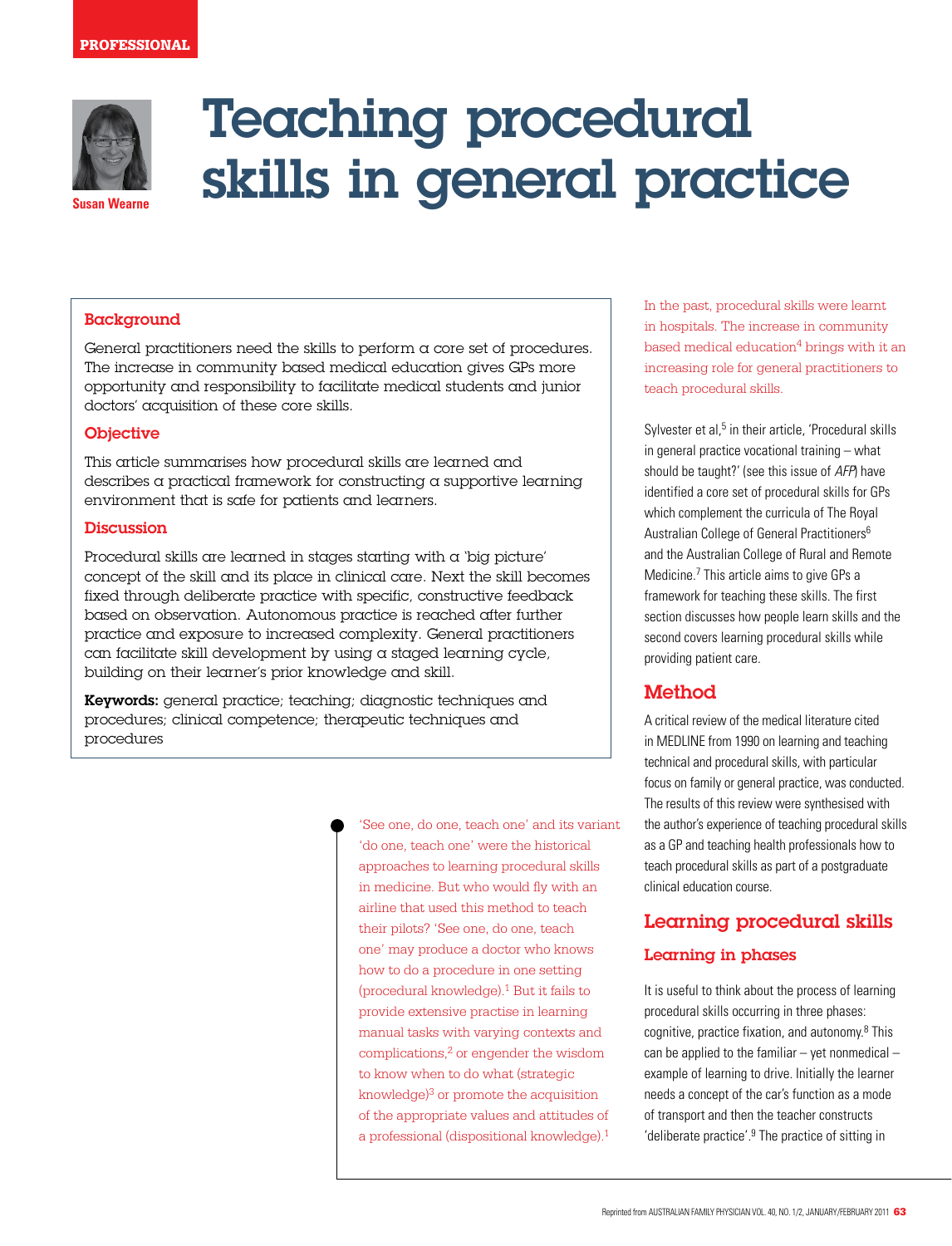

**Susan Wearne**

# Teaching procedural skills in general practice

## **Background**

General practitioners need the skills to perform a core set of procedures. The increase in community based medical education gives GPs more opportunity and responsibility to facilitate medical students and junior doctors' acquisition of these core skills.

## **Objective**

This article summarises how procedural skills are learned and describes a practical framework for constructing a supportive learning environment that is safe for patients and learners.

#### **Discussion**

Procedural skills are learned in stages starting with a 'big picture' concept of the skill and its place in clinical care. Next the skill becomes fixed through deliberate practice with specific, constructive feedback based on observation. Autonomous practice is reached after further practice and exposure to increased complexity. General practitioners can facilitate skill development by using a staged learning cycle, building on their learner's prior knowledge and skill.

Keywords: general practice; teaching; diagnostic techniques and procedures; clinical competence; therapeutic techniques and procedures

> 'See one, do one, teach one' and its variant 'do one, teach one' were the historical approaches to learning procedural skills in medicine. But who would fly with an airline that used this method to teach their pilots? 'See one, do one, teach one' may produce a doctor who knows how to do a procedure in one setting (procedural knowledge).1 But it fails to provide extensive practise in learning manual tasks with varying contexts and complications,2 or engender the wisdom to know when to do what (strategic knowledge $)^3$  or promote the acquisition of the appropriate values and attitudes of a professional (dispositional knowledge).1

In the past, procedural skills were learnt in hospitals. The increase in community based medical education $4$  brings with it an increasing role for general practitioners to teach procedural skills.

Sylvester et al,<sup>5</sup> in their article, 'Procedural skills in general practice vocational training – what should be taught?' (see this issue of AFP) have identified a core set of procedural skills for GPs which complement the curricula of The Royal Australian College of General Practitioners6 and the Australian College of Rural and Remote Medicine.7 This article aims to give GPs a framework for teaching these skills. The first section discusses how people learn skills and the second covers learning procedural skills while providing patient care.

# Method

A critical review of the medical literature cited in MEDLINE from 1990 on learning and teaching technical and procedural skills, with particular focus on family or general practice, was conducted. The results of this review were synthesised with the author's experience of teaching procedural skills as a GP and teaching health professionals how to teach procedural skills as part of a postgraduate clinical education course.

# Learning procedural skills

## Learning in phases

It is useful to think about the process of learning procedural skills occurring in three phases: cognitive, practice fixation, and autonomy.<sup>8</sup> This can be applied to the familiar  $-$  yet nonmedical  $$ example of learning to drive. Initially the learner needs a concept of the car's function as a mode of transport and then the teacher constructs 'deliberate practice'.9 The practice of sitting in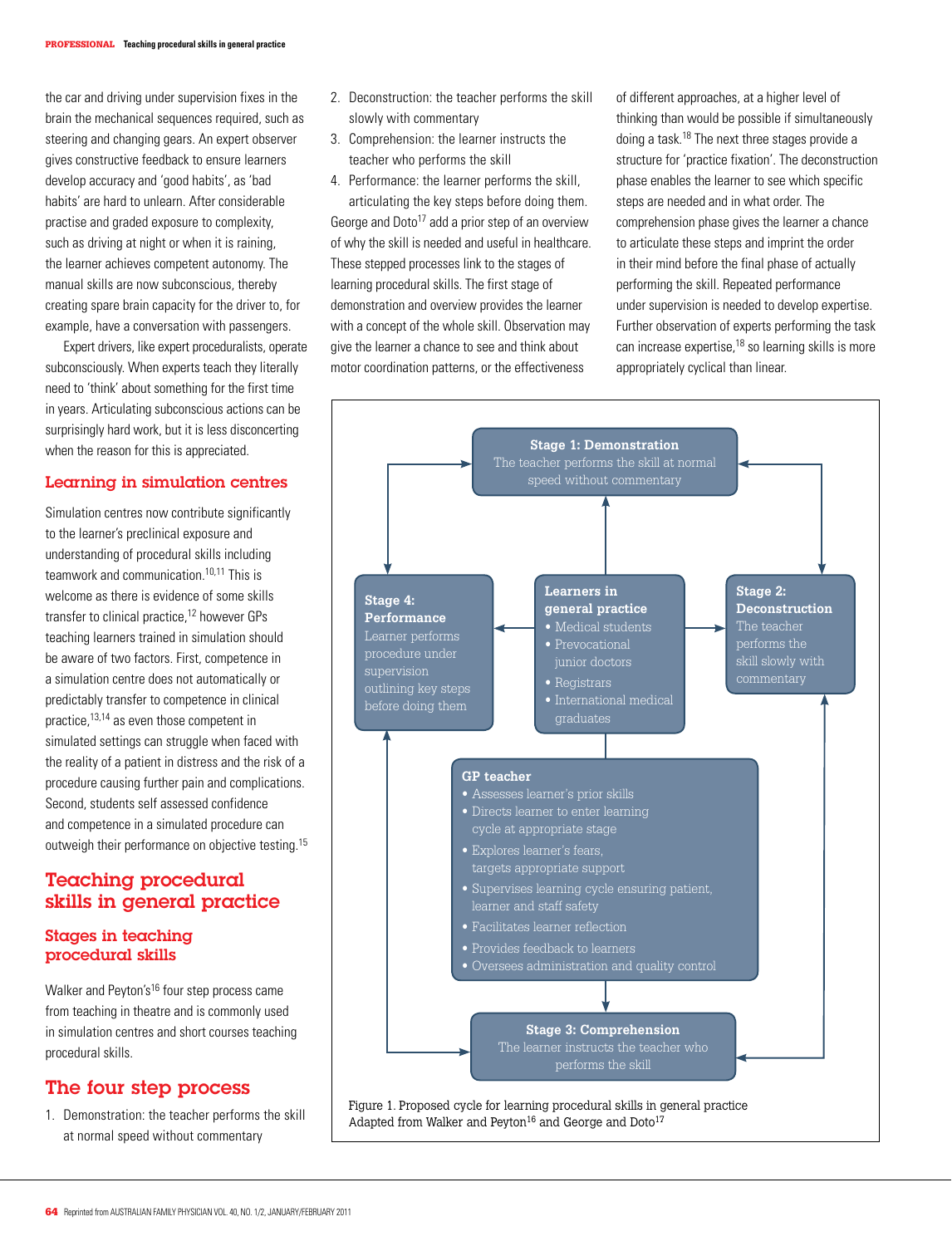the car and driving under supervision fixes in the brain the mechanical sequences required, such as steering and changing gears. An expert observer gives constructive feedback to ensure learners develop accuracy and 'good habits', as 'bad habits' are hard to unlearn. After considerable practise and graded exposure to complexity, such as driving at night or when it is raining, the learner achieves competent autonomy. The manual skills are now subconscious, thereby creating spare brain capacity for the driver to, for example, have a conversation with passengers.

Expert drivers, like expert proceduralists, operate subconsciously. When experts teach they literally need to 'think' about something for the first time in years. Articulating subconscious actions can be surprisingly hard work, but it is less disconcerting when the reason for this is appreciated.

#### Learning in simulation centres

Simulation centres now contribute significantly to the learner's preclinical exposure and understanding of procedural skills including teamwork and communication.10,11 This is welcome as there is evidence of some skills transfer to clinical practice,<sup>12</sup> however GPs teaching learners trained in simulation should be aware of two factors. First, competence in a simulation centre does not automatically or predictably transfer to competence in clinical practice,13,14 as even those competent in simulated settings can struggle when faced with the reality of a patient in distress and the risk of a procedure causing further pain and complications. Second, students self assessed confidence and competence in a simulated procedure can outweigh their performance on objective testing.<sup>15</sup>

# Teaching procedural skills in general practice

## Stages in teaching procedural skills

Walker and Peyton's<sup>16</sup> four step process came from teaching in theatre and is commonly used in simulation centres and short courses teaching procedural skills.

# The four step process

1. Demonstration: the teacher performs the skill at normal speed without commentary

- 2. Deconstruction: the teacher performs the skill slowly with commentary
- 3. Comprehension: the learner instructs the teacher who performs the skill
- 4. Performance: the learner performs the skill, articulating the key steps before doing them. George and Doto<sup>17</sup> add a prior step of an overview of why the skill is needed and useful in healthcare. These stepped processes link to the stages of learning procedural skills. The first stage of demonstration and overview provides the learner with a concept of the whole skill. Observation may give the learner a chance to see and think about motor coordination patterns, or the effectiveness

of different approaches, at a higher level of thinking than would be possible if simultaneously doing a task.18 The next three stages provide a structure for 'practice fixation'. The deconstruction phase enables the learner to see which specific steps are needed and in what order. The comprehension phase gives the learner a chance to articulate these steps and imprint the order in their mind before the final phase of actually performing the skill. Repeated performance under supervision is needed to develop expertise. Further observation of experts performing the task can increase expertise,18 so learning skills is more appropriately cyclical than linear.

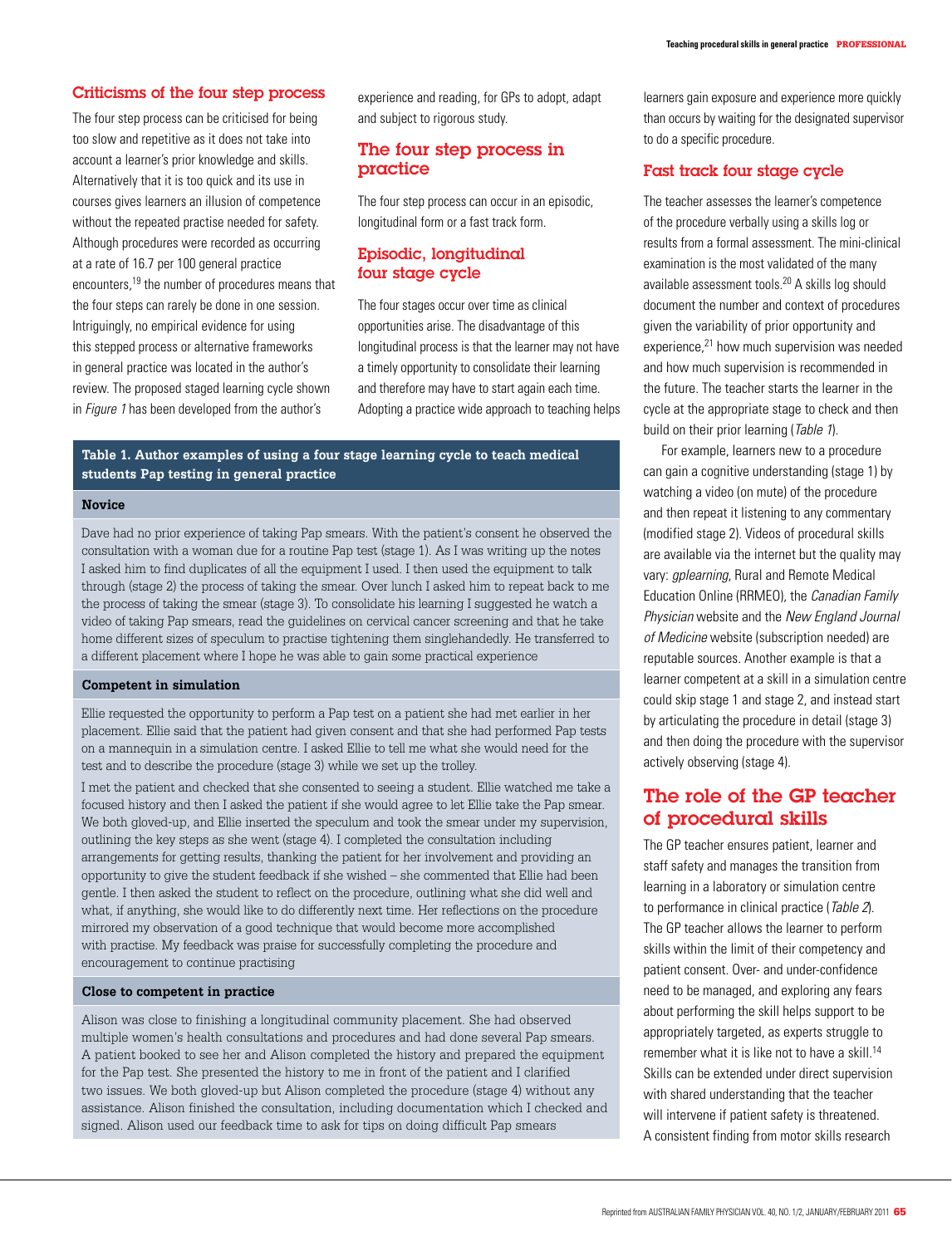#### Criticisms of the four step process

The four step process can be criticised for being too slow and repetitive as it does not take into account a learner's prior knowledge and skills. Alternatively that it is too quick and its use in courses gives learners an illusion of competence without the repeated practise needed for safety. Although procedures were recorded as occurring at a rate of 16.7 per 100 general practice encounters,19 the number of procedures means that the four steps can rarely be done in one session. Intriguingly, no empirical evidence for using this stepped process or alternative frameworks in general practice was located in the author's review. The proposed staged learning cycle shown in *Figure 1* has been developed from the author's

experience and reading, for GPs to adopt, adapt and subject to rigorous study.

## The four step process in practice

The four step process can occur in an episodic, longitudinal form or a fast track form.

## Episodic, longitudinal four stage cycle

The four stages occur over time as clinical opportunities arise. The disadvantage of this longitudinal process is that the learner may not have a timely opportunity to consolidate their learning and therefore may have to start again each time. Adopting a practice wide approach to teaching helps

#### **Table 1. Author examples of using a four stage learning cycle to teach medical students Pap testing in general practice**

#### **Novice**

Dave had no prior experience of taking Pap smears. With the patient's consent he observed the consultation with a woman due for a routine Pap test (stage 1). As I was writing up the notes I asked him to find duplicates of all the equipment I used. I then used the equipment to talk through (stage 2) the process of taking the smear. Over lunch I asked him to repeat back to me the process of taking the smear (stage 3). To consolidate his learning I suggested he watch a video of taking Pap smears, read the guidelines on cervical cancer screening and that he take home different sizes of speculum to practise tightening them singlehandedly. He transferred to a different placement where I hope he was able to gain some practical experience

#### **Competent in simulation**

Ellie requested the opportunity to perform a Pap test on a patient she had met earlier in her placement. Ellie said that the patient had given consent and that she had performed Pap tests on a mannequin in a simulation centre. I asked Ellie to tell me what she would need for the test and to describe the procedure (stage 3) while we set up the trolley.

I met the patient and checked that she consented to seeing a student. Ellie watched me take a focused history and then I asked the patient if she would agree to let Ellie take the Pap smear. We both gloved-up, and Ellie inserted the speculum and took the smear under my supervision, outlining the key steps as she went (stage 4). I completed the consultation including arrangements for getting results, thanking the patient for her involvement and providing an opportunity to give the student feedback if she wished – she commented that Ellie had been gentle. I then asked the student to reflect on the procedure, outlining what she did well and what, if anything, she would like to do differently next time. Her reflections on the procedure mirrored my observation of a good technique that would become more accomplished with practise. My feedback was praise for successfully completing the procedure and encouragement to continue practising

#### **Close to competent in practice**

Alison was close to finishing a longitudinal community placement. She had observed multiple women's health consultations and procedures and had done several Pap smears. A patient booked to see her and Alison completed the history and prepared the equipment for the Pap test. She presented the history to me in front of the patient and I clarified two issues. We both gloved-up but Alison completed the procedure (stage 4) without any assistance. Alison finished the consultation, including documentation which I checked and signed. Alison used our feedback time to ask for tips on doing difficult Pap smears

learners gain exposure and experience more quickly than occurs by waiting for the designated supervisor to do a specific procedure.

#### Fast track four stage cycle

The teacher assesses the learner's competence of the procedure verbally using a skills log or results from a formal assessment. The mini-clinical examination is the most validated of the many available assessment tools.20 A skills log should document the number and context of procedures given the variability of prior opportunity and experience,<sup>21</sup> how much supervision was needed and how much supervision is recommended in the future. The teacher starts the learner in the cycle at the appropriate stage to check and then build on their prior learning (Table 1).

For example, learners new to a procedure can gain a cognitive understanding (stage 1) by watching a video (on mute) of the procedure and then repeat it listening to any commentary (modified stage 2). Videos of procedural skills are available via the internet but the quality may vary: *gplearning*, Rural and Remote Medical Education Online (RRMEO), the Canadian Family Physician website and the New England Journal of Medicine website (subscription needed) are reputable sources. Another example is that a learner competent at a skill in a simulation centre could skip stage 1 and stage 2, and instead start by articulating the procedure in detail (stage 3) and then doing the procedure with the supervisor actively observing (stage 4).

# The role of the GP teacher of procedural skills

The GP teacher ensures patient, learner and staff safety and manages the transition from learning in a laboratory or simulation centre to performance in clinical practice (Table 2). The GP teacher allows the learner to perform skills within the limit of their competency and patient consent. Over- and under-confidence need to be managed, and exploring any fears about performing the skill helps support to be appropriately targeted, as experts struggle to remember what it is like not to have a skill.<sup>14</sup> Skills can be extended under direct supervision with shared understanding that the teacher will intervene if patient safety is threatened. A consistent finding from motor skills research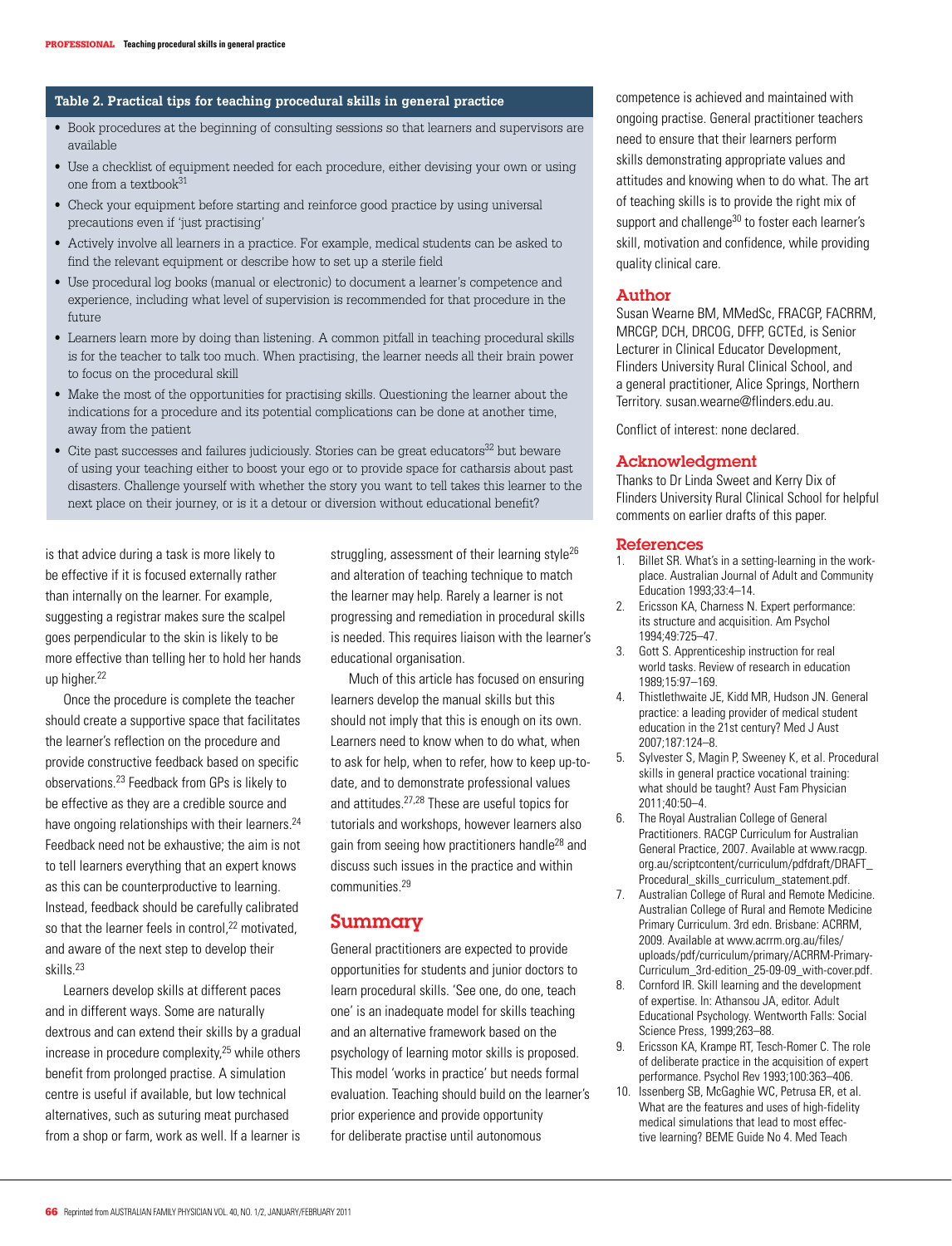#### **Table 2. Practical tips for teaching procedural skills in general practice**

- • Book procedures at the beginning of consulting sessions so that learners and supervisors are available
- Use a checklist of equipment needed for each procedure, either devising your own or using one from a textbook $31$
- Check your equipment before starting and reinforce good practice by using universal precautions even if 'just practising'
- • Actively involve all learners in a practice. For example, medical students can be asked to find the relevant equipment or describe how to set up a sterile field
- • Use procedural log books (manual or electronic) to document a learner's competence and experience, including what level of supervision is recommended for that procedure in the future
- • Learners learn more by doing than listening. A common pitfall in teaching procedural skills is for the teacher to talk too much. When practising, the learner needs all their brain power to focus on the procedural skill
- • Make the most of the opportunities for practising skills. Questioning the learner about the indications for a procedure and its potential complications can be done at another time, away from the patient
- $\bullet$  Cite past successes and failures judiciously. Stories can be great educators<sup>32</sup> but beware of using your teaching either to boost your ego or to provide space for catharsis about past disasters. Challenge yourself with whether the story you want to tell takes this learner to the next place on their journey, or is it a detour or diversion without educational benefit?

is that advice during a task is more likely to be effective if it is focused externally rather than internally on the learner. For example, suggesting a registrar makes sure the scalpel goes perpendicular to the skin is likely to be more effective than telling her to hold her hands up higher.<sup>22</sup>

 Once the procedure is complete the teacher should create a supportive space that facilitates the learner's reflection on the procedure and provide constructive feedback based on specific observations.23 Feedback from GPs is likely to be effective as they are a credible source and have ongoing relationships with their learners.<sup>24</sup> Feedback need not be exhaustive; the aim is not to tell learners everything that an expert knows as this can be counterproductive to learning. Instead, feedback should be carefully calibrated so that the learner feels in control,<sup>22</sup> motivated, and aware of the next step to develop their skills.23

Learners develop skills at different paces and in different ways. Some are naturally dextrous and can extend their skills by a gradual increase in procedure complexity,25 while others benefit from prolonged practise. A simulation centre is useful if available, but low technical alternatives, such as suturing meat purchased from a shop or farm, work as well. If a learner is struggling, assessment of their learning style<sup>26</sup> and alteration of teaching technique to match the learner may help. Rarely a learner is not progressing and remediation in procedural skills is needed. This requires liaison with the learner's educational organisation.

Much of this article has focused on ensuring learners develop the manual skills but this should not imply that this is enough on its own. Learners need to know when to do what, when to ask for help, when to refer, how to keep up-todate, and to demonstrate professional values and attitudes.27,28 These are useful topics for tutorials and workshops, however learners also gain from seeing how practitioners handle28 and discuss such issues in the practice and within communities.29

#### Summary

General practitioners are expected to provide opportunities for students and junior doctors to learn procedural skills. 'See one, do one, teach one' is an inadequate model for skills teaching and an alternative framework based on the psychology of learning motor skills is proposed. This model 'works in practice' but needs formal evaluation. Teaching should build on the learner's prior experience and provide opportunity for deliberate practise until autonomous

competence is achieved and maintained with ongoing practise. General practitioner teachers need to ensure that their learners perform skills demonstrating appropriate values and attitudes and knowing when to do what. The art of teaching skills is to provide the right mix of support and challenge<sup>30</sup> to foster each learner's skill, motivation and confidence, while providing quality clinical care.

#### Author

Susan Wearne BM, MMedSc, FRACGP, FACRRM, MRCGP, DCH, DRCOG, DFFP, GCTEd, is Senior Lecturer in Clinical Educator Development, Flinders University Rural Clinical School, and a general practitioner, Alice Springs, Northern Territory. susan.wearne@flinders.edu.au.

Conflict of interest: none declared.

#### Acknowledgment

Thanks to Dr Linda Sweet and Kerry Dix of Flinders University Rural Clinical School for helpful comments on earlier drafts of this paper.

#### References

- 1. Billet SR. What's in a setting-learning in the workplace. Australian Journal of Adult and Community Education 1993;33:4–14.
- 2. Ericsson KA, Charness N. Expert performance: its structure and acquisition. Am Psychol 1994;49:725–47.
- 3. Gott S. Apprenticeship instruction for real world tasks. Review of research in education 1989;15:97–169.
- 4. Thistlethwaite JE, Kidd MR, Hudson JN. General practice: a leading provider of medical student education in the 21st century? Med J Aust 2007;187:124–8.
- 5. Sylvester S, Magin P, Sweeney K, et al. Procedural skills in general practice vocational training: what should be taught? Aust Fam Physician 2011;40:50–4.
- 6. The Royal Australian College of General Practitioners. RACGP Curriculum for Australian General Practice, 2007. Available at www.racgp. org.au/scriptcontent/curriculum/pdfdraft/DRAFT\_ Procedural\_skills\_curriculum\_statement.pdf.
- 7. Australian College of Rural and Remote Medicine. Australian College of Rural and Remote Medicine Primary Curriculum. 3rd edn. Brisbane: ACRRM, 2009. Available at www.acrrm.org.au/files/ uploads/pdf/curriculum/primary/ACRRM-Primary-Curriculum\_3rd-edition\_25-09-09\_with-cover.pdf.
- 8. Cornford IR. Skill learning and the development of expertise. In: Athansou JA, editor. Adult Educational Psychology. Wentworth Falls: Social Science Press, 1999;263–88.
- 9. Ericsson KA, Krampe RT, Tesch-Romer C. The role of deliberate practice in the acquisition of expert performance. Psychol Rev 1993;100:363–406.
- 10. Issenberg SB, McGaghie WC, Petrusa ER, et al. What are the features and uses of high-fidelity medical simulations that lead to most effective learning? BEME Guide No 4. Med Teach